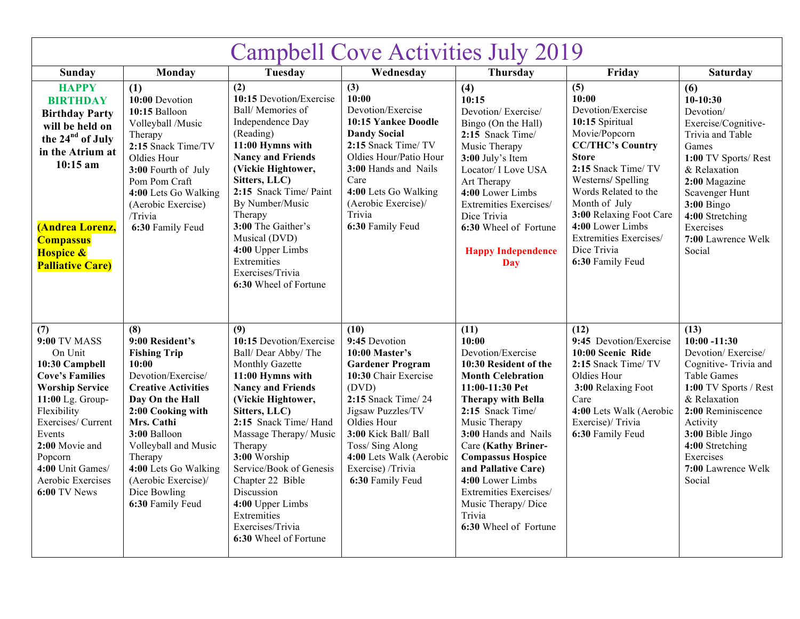| <b>Campbell Cove Activities July 2019</b>                                                                                                                                                                                                                            |                                                                                                                                                                                                                                                                                                        |                                                                                                                                                                                                                                                                                                                                                                                          |                                                                                                                                                                                                                                                                               |                                                                                                                                                                                                                                                                                                                                                                                       |                                                                                                                                                                                                                                                                                                             |                                                                                                                                                                                                                                                           |
|----------------------------------------------------------------------------------------------------------------------------------------------------------------------------------------------------------------------------------------------------------------------|--------------------------------------------------------------------------------------------------------------------------------------------------------------------------------------------------------------------------------------------------------------------------------------------------------|------------------------------------------------------------------------------------------------------------------------------------------------------------------------------------------------------------------------------------------------------------------------------------------------------------------------------------------------------------------------------------------|-------------------------------------------------------------------------------------------------------------------------------------------------------------------------------------------------------------------------------------------------------------------------------|---------------------------------------------------------------------------------------------------------------------------------------------------------------------------------------------------------------------------------------------------------------------------------------------------------------------------------------------------------------------------------------|-------------------------------------------------------------------------------------------------------------------------------------------------------------------------------------------------------------------------------------------------------------------------------------------------------------|-----------------------------------------------------------------------------------------------------------------------------------------------------------------------------------------------------------------------------------------------------------|
| <b>Sunday</b>                                                                                                                                                                                                                                                        | Monday                                                                                                                                                                                                                                                                                                 | Tuesday                                                                                                                                                                                                                                                                                                                                                                                  | Wednesday                                                                                                                                                                                                                                                                     | Thursday                                                                                                                                                                                                                                                                                                                                                                              | Friday                                                                                                                                                                                                                                                                                                      | <b>Saturday</b>                                                                                                                                                                                                                                           |
| <b>HAPPY</b><br><b>BIRTHDAY</b><br><b>Birthday Party</b><br>will be held on<br>the 24 <sup>nd</sup> of July<br>in the Atrium at<br>$10:15$ am<br><b>(Andrea Lorenz,</b><br><b>Compassus</b><br><b>Hospice &amp;</b><br><b>Palliative Care)</b>                       | (1)<br>10:00 Devotion<br>10:15 Balloon<br>Volleyball /Music<br>Therapy<br>2:15 Snack Time/TV<br>Oldies Hour<br>3:00 Fourth of July<br>Pom Pom Craft<br>4:00 Lets Go Walking<br>(Aerobic Exercise)<br>/Trivia<br>6:30 Family Feud                                                                       | (2)<br>10:15 Devotion/Exercise<br>Ball/Memories of<br>Independence Day<br>(Reading)<br>11:00 Hymns with<br><b>Nancy and Friends</b><br>(Vickie Hightower,<br>Sitters, LLC)<br>2:15 Snack Time/ Paint<br>By Number/Music<br>Therapy<br>3:00 The Gaither's<br>Musical (DVD)<br>4:00 Upper Limbs<br>Extremities<br>Exercises/Trivia<br>6:30 Wheel of Fortune                                | (3)<br>10:00<br>Devotion/Exercise<br>10:15 Yankee Doodle<br><b>Dandy Social</b><br>2:15 Snack Time/TV<br>Oldies Hour/Patio Hour<br>3:00 Hands and Nails<br>Care<br>4:00 Lets Go Walking<br>(Aerobic Exercise)/<br>Trivia<br>6:30 Family Feud                                  | (4)<br>10:15<br>Devotion/Exercise/<br>Bingo (On the Hall)<br>2:15 Snack Time/<br>Music Therapy<br>3:00 July's Item<br>Locator/ I Love USA<br>Art Therapy<br>4:00 Lower Limbs<br>Extremities Exercises/<br>Dice Trivia<br>6:30 Wheel of Fortune<br><b>Happy Independence</b><br><b>Day</b>                                                                                             | (5)<br>10:00<br>Devotion/Exercise<br>10:15 Spiritual<br>Movie/Popcorn<br><b>CC/THC's Country</b><br>Store<br>2:15 Snack Time/ TV<br>Westerns/ Spelling<br>Words Related to the<br>Month of July<br>3:00 Relaxing Foot Care<br>4:00 Lower Limbs<br>Extremities Exercises/<br>Dice Trivia<br>6:30 Family Feud | (6)<br>$10-10:30$<br>Devotion/<br>Exercise/Cognitive-<br>Trivia and Table<br>Games<br>1:00 TV Sports/Rest<br>& Relaxation<br>2:00 Magazine<br>Scavenger Hunt<br>$3:00$ Bingo<br>4:00 Stretching<br>Exercises<br>7:00 Lawrence Welk<br>Social              |
| (7)<br><b>9:00 TV MASS</b><br>On Unit<br>10:30 Campbell<br><b>Cove's Families</b><br><b>Worship Service</b><br>11:00 Lg. Group-<br>Flexibility<br>Exercises/ Current<br>Events<br>2:00 Movie and<br>Popcorn<br>4:00 Unit Games/<br>Aerobic Exercises<br>6:00 TV News | (8)<br>9:00 Resident's<br><b>Fishing Trip</b><br>10:00<br>Devotion/Exercise/<br><b>Creative Activities</b><br>Day On the Hall<br>2:00 Cooking with<br>Mrs. Cathi<br>3:00 Balloon<br>Volleyball and Music<br>Therapy<br>4:00 Lets Go Walking<br>(Aerobic Exercise)/<br>Dice Bowling<br>6:30 Family Feud | (9)<br>10:15 Devotion/Exercise<br>Ball/Dear Abby/The<br>Monthly Gazette<br>11:00 Hymns with<br><b>Nancy and Friends</b><br>(Vickie Hightower,<br>Sitters, LLC)<br>2:15 Snack Time/ Hand<br>Massage Therapy/Music<br>Therapy<br>3:00 Worship<br>Service/Book of Genesis<br>Chapter 22 Bible<br>Discussion<br>4:00 Upper Limbs<br>Extremities<br>Exercises/Trivia<br>6:30 Wheel of Fortune | (10)<br>9:45 Devotion<br>10:00 Master's<br><b>Gardener Program</b><br>10:30 Chair Exercise<br>(DVD)<br>2:15 Snack Time/ 24<br>Jigsaw Puzzles/TV<br>Oldies Hour<br>3:00 Kick Ball/ Ball<br>Toss/Sing Along<br>4:00 Lets Walk (Aerobic<br>Exercise) /Trivia<br>6:30 Family Feud | (11)<br>10:00<br>Devotion/Exercise<br>10:30 Resident of the<br><b>Month Celebration</b><br>11:00-11:30 Pet<br><b>Therapy with Bella</b><br>2:15 Snack Time/<br>Music Therapy<br>3:00 Hands and Nails<br>Care (Kathy Briner-<br><b>Compassus Hospice</b><br>and Pallative Care)<br>4:00 Lower Limbs<br>Extremities Exercises/<br>Music Therapy/Dice<br>Trivia<br>6:30 Wheel of Fortune | (12)<br>9:45 Devotion/Exercise<br>10:00 Scenic Ride<br>2:15 Snack Time/ TV<br>Oldies Hour<br>3:00 Relaxing Foot<br>Care<br>4:00 Lets Walk (Aerobic<br>Exercise)/Trivia<br>6:30 Family Feud                                                                                                                  | (13)<br>$10:00 - 11:30$<br>Devotion/Exercise/<br>Cognitive-Trivia and<br><b>Table Games</b><br>1:00 TV Sports / Rest<br>& Relaxation<br>2:00 Reminiscence<br>Activity<br>3:00 Bible Jingo<br>4:00 Stretching<br>Exercises<br>7:00 Lawrence Welk<br>Social |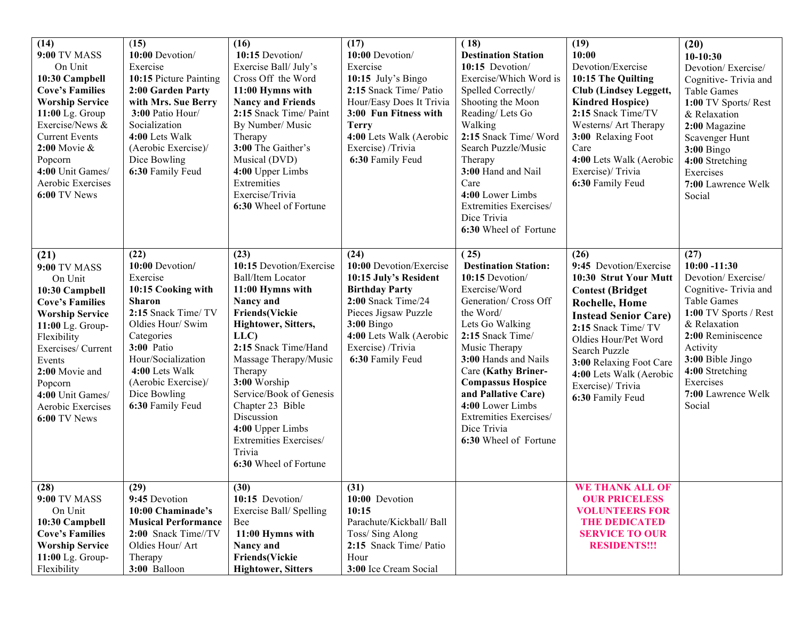| (14)<br><b>9:00 TV MASS</b><br>On Unit<br>10:30 Campbell<br><b>Cove's Families</b><br><b>Worship Service</b><br>11:00 Lg. Group<br>Exercise/News &<br><b>Current Events</b><br>$2:00$ Movie $\&$<br>Popcorn<br>4:00 Unit Games/<br>Aerobic Exercises<br>6:00 TV News  | (15)<br>10:00 Devotion/<br>Exercise<br>10:15 Picture Painting<br>2:00 Garden Party<br>with Mrs. Sue Berry<br>3:00 Patio Hour/<br>Socialization<br>4:00 Lets Walk<br>(Aerobic Exercise)/<br>Dice Bowling<br>6:30 Family Feud                           | (16)<br>10:15 Devotion/<br>Exercise Ball/July's<br>Cross Off the Word<br>11:00 Hymns with<br><b>Nancy and Friends</b><br>2:15 Snack Time/ Paint<br>By Number/ Music<br>Therapy<br>3:00 The Gaither's<br>Musical (DVD)<br>4:00 Upper Limbs<br>Extremities<br>Exercise/Trivia<br>6:30 Wheel of Fortune                                                                           | (17)<br>10:00 Devotion/<br>Exercise<br>10:15 July's Bingo<br>2:15 Snack Time/ Patio<br>Hour/Easy Does It Trivia<br>3:00 Fun Fitness with<br><b>Terry</b><br>4:00 Lets Walk (Aerobic<br>Exercise) /Trivia<br>6:30 Family Feud | (18)<br><b>Destination Station</b><br>10:15 Devotion/<br>Exercise/Which Word is<br>Spelled Correctly/<br>Shooting the Moon<br>Reading/Lets Go<br>Walking<br>2:15 Snack Time/ Word<br>Search Puzzle/Music<br>Therapy<br>3:00 Hand and Nail<br>Care<br>4:00 Lower Limbs<br>Extremities Exercises/<br>Dice Trivia<br>6:30 Wheel of Fortune                       | (19)<br>10:00<br>Devotion/Exercise<br>10:15 The Quilting<br>Club (Lindsey Leggett,<br><b>Kindred Hospice</b> )<br>2:15 Snack Time/TV<br>Westerns/ Art Therapy<br>3:00 Relaxing Foot<br>Care<br>4:00 Lets Walk (Aerobic<br>Exercise)/ Trivia<br>6:30 Family Feud                                           | (20)<br>$10-10:30$<br>Devotion/Exercise/<br>Cognitive-Trivia and<br><b>Table Games</b><br>1:00 TV Sports/Rest<br>& Relaxation<br>2:00 Magazine<br>Scavenger Hunt<br><b>3:00 Bingo</b><br>4:00 Stretching<br>Exercises<br>7:00 Lawrence Welk<br>Social     |
|-----------------------------------------------------------------------------------------------------------------------------------------------------------------------------------------------------------------------------------------------------------------------|-------------------------------------------------------------------------------------------------------------------------------------------------------------------------------------------------------------------------------------------------------|--------------------------------------------------------------------------------------------------------------------------------------------------------------------------------------------------------------------------------------------------------------------------------------------------------------------------------------------------------------------------------|------------------------------------------------------------------------------------------------------------------------------------------------------------------------------------------------------------------------------|---------------------------------------------------------------------------------------------------------------------------------------------------------------------------------------------------------------------------------------------------------------------------------------------------------------------------------------------------------------|-----------------------------------------------------------------------------------------------------------------------------------------------------------------------------------------------------------------------------------------------------------------------------------------------------------|-----------------------------------------------------------------------------------------------------------------------------------------------------------------------------------------------------------------------------------------------------------|
| (21)<br><b>9:00 TV MASS</b><br>On Unit<br>10:30 Campbell<br><b>Cove's Families</b><br><b>Worship Service</b><br>11:00 Lg. Group-<br>Flexibility<br>Exercises/ Current<br>Events<br>2:00 Movie and<br>Popcorn<br>4:00 Unit Games/<br>Aerobic Exercises<br>6:00 TV News | (22)<br>10:00 Devotion/<br>Exercise<br>10:15 Cooking with<br><b>Sharon</b><br>2:15 Snack Time/ TV<br>Oldies Hour/ Swim<br>Categories<br>3:00 Patio<br>Hour/Socialization<br>4:00 Lets Walk<br>(Aerobic Exercise)/<br>Dice Bowling<br>6:30 Family Feud | (23)<br>10:15 Devotion/Exercise<br><b>Ball/Item Locator</b><br>11:00 Hymns with<br>Nancy and<br><b>Friends(Vickie</b><br>Hightower, Sitters,<br>LLC)<br>2:15 Snack Time/Hand<br>Massage Therapy/Music<br>Therapy<br>3:00 Worship<br>Service/Book of Genesis<br>Chapter 23 Bible<br>Discussion<br>4:00 Upper Limbs<br>Extremities Exercises/<br>Trivia<br>6:30 Wheel of Fortune | (24)<br>10:00 Devotion/Exercise<br>10:15 July's Resident<br><b>Birthday Party</b><br>2:00 Snack Time/24<br>Pieces Jigsaw Puzzle<br><b>3:00 Bingo</b><br>4:00 Lets Walk (Aerobic<br>Exercise) /Trivia<br>6:30 Family Feud     | (25)<br><b>Destination Station:</b><br>10:15 Devotion/<br>Exercise/Word<br>Generation/ Cross Off<br>the Word/<br>Lets Go Walking<br>2:15 Snack Time/<br>Music Therapy<br>3:00 Hands and Nails<br>Care (Kathy Briner-<br><b>Compassus Hospice</b><br>and Pallative Care)<br>4:00 Lower Limbs<br>Extremities Exercises/<br>Dice Trivia<br>6:30 Wheel of Fortune | (26)<br>9:45 Devotion/Exercise<br>10:30 Strut Your Mutt<br><b>Contest (Bridget</b><br><b>Rochelle, Home</b><br><b>Instead Senior Care)</b><br>2:15 Snack Time/ TV<br>Oldies Hour/Pet Word<br>Search Puzzle<br>3:00 Relaxing Foot Care<br>4:00 Lets Walk (Aerobic<br>Exercise)/ Trivia<br>6:30 Family Feud | (27)<br>$10:00 - 11:30$<br>Devotion/Exercise/<br>Cognitive-Trivia and<br><b>Table Games</b><br>1:00 TV Sports / Rest<br>& Relaxation<br>2:00 Reminiscence<br>Activity<br>3:00 Bible Jingo<br>4:00 Stretching<br>Exercises<br>7:00 Lawrence Welk<br>Social |
| (28)<br>9:00 TV MASS<br>On Unit<br>10:30 Campbell<br><b>Cove's Families</b><br><b>Worship Service</b><br>11:00 Lg. Group-<br>Flexibility                                                                                                                              | (29)<br>9:45 Devotion<br>10:00 Chaminade's<br><b>Musical Performance</b><br>2:00 Snack Time//TV<br>Oldies Hour/ Art<br>Therapy<br>3:00 Balloon                                                                                                        | (30)<br>10:15 Devotion/<br>Exercise Ball/Spelling<br>Bee<br>11:00 Hymns with<br>Nancy and<br><b>Friends(Vickie</b><br><b>Hightower, Sitters</b>                                                                                                                                                                                                                                | (31)<br>10:00 Devotion<br>10:15<br>Parachute/Kickball/ Ball<br>Toss/Sing Along<br>2:15 Snack Time/ Patio<br>Hour<br>3:00 Ice Cream Social                                                                                    |                                                                                                                                                                                                                                                                                                                                                               | WE THANK ALL OF<br><b>OUR PRICELESS</b><br><b>VOLUNTEERS FOR</b><br><b>THE DEDICATED</b><br><b>SERVICE TO OUR</b><br><b>RESIDENTS!!!</b>                                                                                                                                                                  |                                                                                                                                                                                                                                                           |